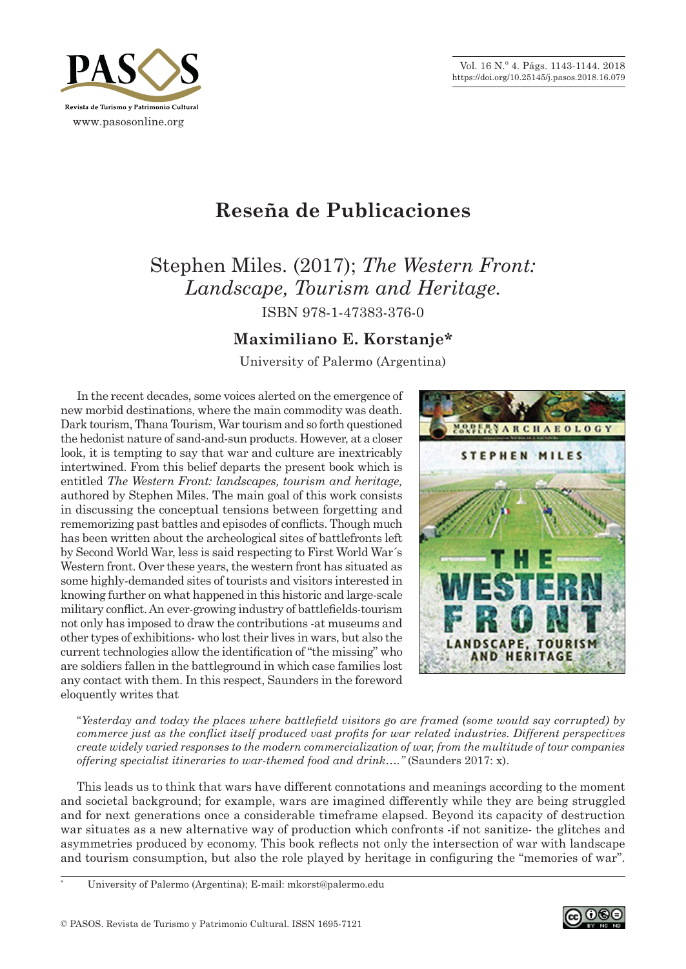Vol. 16 N.º 4. Págs. 1143-1144. 2018 https://doi.org/10.25145/j.pasos.2018.16.079



## **Reseña de Publicaciones**

Stephen Miles. (2017); *The Western Front: Landscape, Tourism and Heritage.*

ISBN 978‑1‑47383‑376‑0

## **Maximiliano E. Korstanje\***

University of Palermo (Argentina)

In the recent decades, some voices alerted on the emergence of new morbid destinations, where the main commodity was death. Dark tourism, Thana Tourism, War tourism and so forth questioned the hedonist nature of sand‑and‑sun products. However, at a closer look, it is tempting to say that war and culture are inextricably intertwined. From this belief departs the present book which is entitled *The Western Front: landscapes, tourism and heritage,*  authored by Stephen Miles. The main goal of this work consists in discussing the conceptual tensions between forgetting and rememorizing past battles and episodes of conflicts. Though much has been written about the archeological sites of battlefronts left by Second World War, less is said respecting to First World War´s Western front. Over these years, the western front has situated as some highly‑demanded sites of tourists and visitors interested in knowing further on what happened in this historic and large-scale military conflict. An ever‑growing industry of battlefields‑tourism not only has imposed to draw the contributions ‑at museums and other types of exhibitions‑ who lost their lives in wars, but also the current technologies allow the identification of "the missing" who are soldiers fallen in the battleground in which case families lost any contact with them. In this respect, Saunders in the foreword eloquently writes that



"*Yesterday and today the places where battlefield visitors go are framed (some would say corrupted) by commerce just as the conflict itself produced vast profits for war related industries. Different perspectives create widely varied responses to the modern commercialization of war, from the multitude of tour companies offering specialist itineraries to war-themed food and drink....*" (Saunders 2017: x).

This leads us to think that wars have different connotations and meanings according to the moment and societal background; for example, wars are imagined differently while they are being struggled and for next generations once a considerable timeframe elapsed. Beyond its capacity of destruction war situates as a new alternative way of production which confronts –if not sanitize–the glitches and asymmetries produced by economy. This book reflects not only the intersection of war with landscape and tourism consumption, but also the role played by heritage in configuring the "memories of war".

\* University of Palermo (Argentina); E‑mail: mkorst@palermo.edu